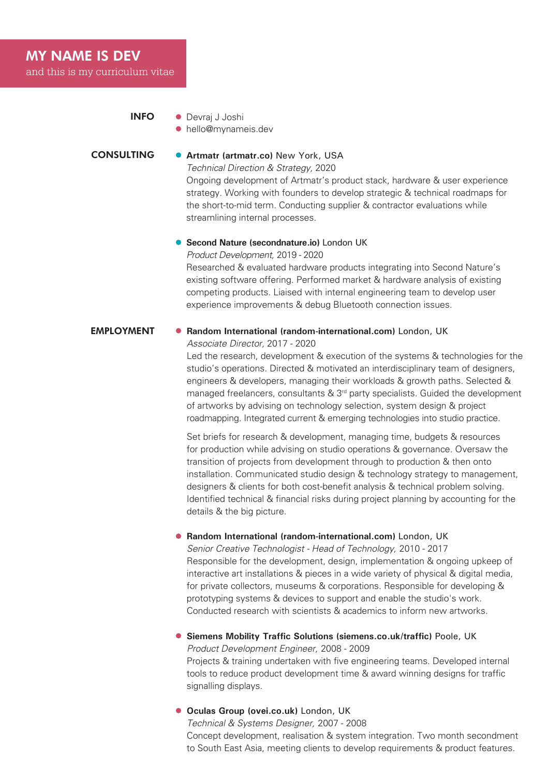# MY NAME IS DEV

and this is my curriculum vitae

hello@mynameis.dev

#### **CONSULTING Artmatr (artmatr.co)** New York, USA

*Technical Direction & Strategy,* 2020

Ongoing development of Artmatr's product stack, hardware & user experience strategy. Working with founders to develop strategic & technical roadmaps for the short-to-mid term. Conducting supplier & contractor evaluations while streamlining internal processes.

#### **Second Nature (secondnature.io)** London UK

*Product Development,* 2019 - 2020

Researched & evaluated hardware products integrating into Second Nature's existing software offering. Performed market & hardware analysis of existing competing products. Liaised with internal engineering team to develop user experience improvements & debug Bluetooth connection issues.

## **EMPLOYMENT • Random International (random-international.com)** London, UK

*Associate Director,* 2017 - 2020

Led the research, development & execution of the systems & technologies for the studio's operations. Directed & motivated an interdisciplinary team of designers, engineers & developers, managing their workloads & growth paths. Selected & managed freelancers, consultants  $\&$  3<sup>rd</sup> party specialists. Guided the development of artworks by advising on technology selection, system design & project roadmapping. Integrated current & emerging technologies into studio practice.

Set briefs for research & development, managing time, budgets & resources for production while advising on studio operations & governance. Oversaw the transition of projects from development through to production & then onto installation. Communicated studio design & technology strategy to management, designers & clients for both cost-benefit analysis & technical problem solving. Identified technical & financial risks during project planning by accounting for the details & the big picture.

#### **Random International (random-international.com)** London, UK

*Senior Creative Technologist - Head of Technology,* 2010 - 2017 Responsible for the development, design, implementation & ongoing upkeep of interactive art installations & pieces in a wide variety of physical & digital media, for private collectors, museums & corporations. Responsible for developing & prototyping systems & devices to support and enable the studio's work. Conducted research with scientists & academics to inform new artworks.

**Siemens Mobility Traffic Solutions (siemens.co.uk/traffic)** Poole, UK *Product Development Engineer,* 2008 - 2009 Projects & training undertaken with five engineering teams. Developed internal tools to reduce product development time & award winning designs for traffic signalling displays.

**Oculas Group (ovei.co.uk)** London, UK *Technical & Systems Designer,* 2007 - 2008 Concept development, realisation & system integration. Two month secondment to South East Asia, meeting clients to develop requirements & product features.